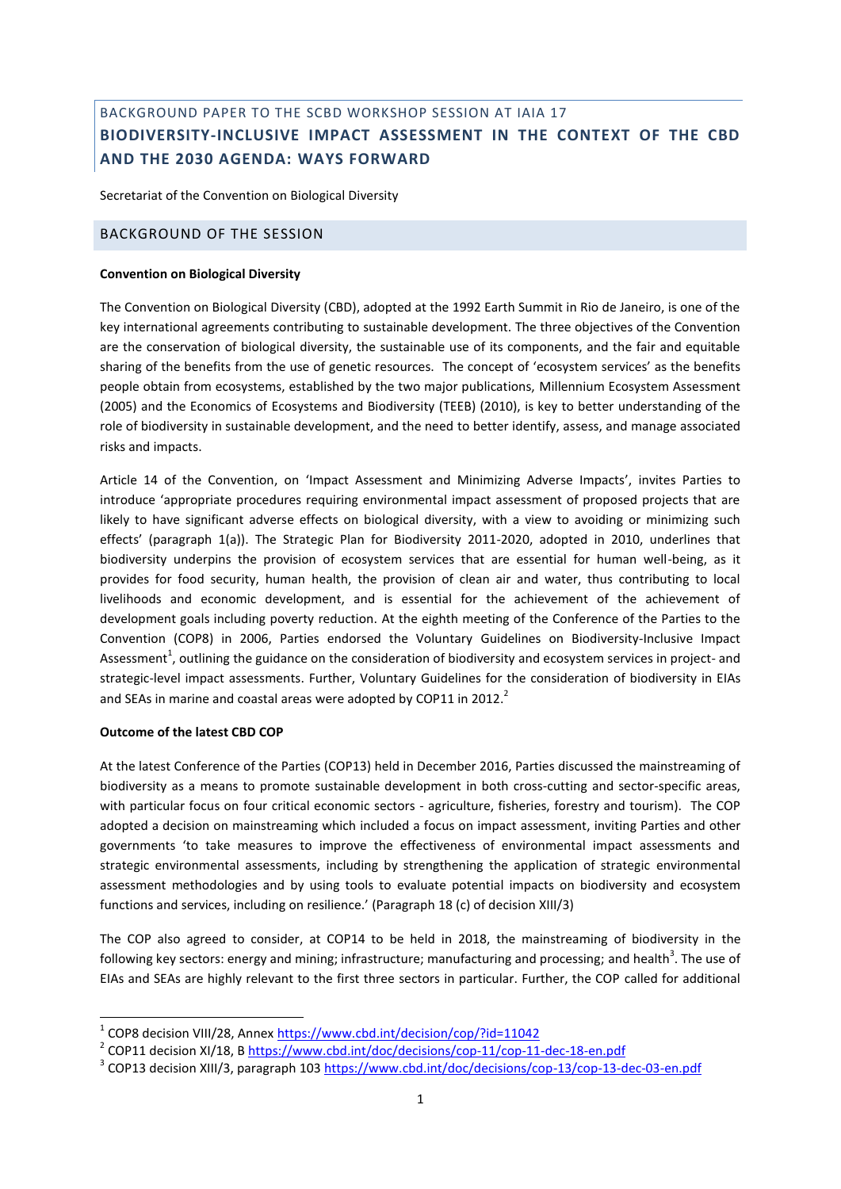# BACKGROUND PAPER TO THE SCBD WORKSHOP SESSION AT IAIA 17 **BIODIVERSITY-INCLUSIVE IMPACT ASSESSMENT IN THE CONTEXT OF THE CBD AND THE 2030 AGENDA: WAYS FORWARD**

Secretariat of the Convention on Biological Diversity

# BACKGROUND OF THE SESSION

#### **Convention on Biological Diversity**

The Convention on Biological Diversity (CBD), adopted at the 1992 Earth Summit in Rio de Janeiro, is one of the key international agreements contributing to sustainable development. The three objectives of the Convention are the conservation of biological diversity, the sustainable use of its components, and the fair and equitable sharing of the benefits from the use of genetic resources. The concept of 'ecosystem services' as the benefits people obtain from ecosystems, established by the two major publications, Millennium Ecosystem Assessment (2005) and the Economics of Ecosystems and Biodiversity (TEEB) (2010), is key to better understanding of the role of biodiversity in sustainable development, and the need to better identify, assess, and manage associated risks and impacts.

Article 14 of the Convention, on 'Impact Assessment and Minimizing Adverse Impacts', invites Parties to introduce 'appropriate procedures requiring environmental impact assessment of proposed projects that are likely to have significant adverse effects on biological diversity, with a view to avoiding or minimizing such effects' (paragraph 1(a)). The Strategic Plan for Biodiversity 2011-2020, adopted in 2010, underlines that biodiversity underpins the provision of ecosystem services that are essential for human well-being, as it provides for food security, human health, the provision of clean air and water, thus contributing to local livelihoods and economic development, and is essential for the achievement of the achievement of development goals including poverty reduction. At the eighth meeting of the Conference of the Parties to the Convention (COP8) in 2006, Parties endorsed the Voluntary Guidelines on Biodiversity-Inclusive Impact Assessment<sup>1</sup>, outlining the guidance on the consideration of biodiversity and ecosystem services in project- and strategic-level impact assessments. Further, Voluntary Guidelines for the consideration of biodiversity in EIAs and SEAs in marine and coastal areas were adopted by COP11 in 2012. $^2$ 

# **Outcome of the latest CBD COP**

**-**

At the latest Conference of the Parties (COP13) held in December 2016, Parties discussed the mainstreaming of biodiversity as a means to promote sustainable development in both cross-cutting and sector-specific areas, with particular focus on four critical economic sectors - agriculture, fisheries, forestry and tourism). The COP adopted a decision on mainstreaming which included a focus on impact assessment, inviting Parties and other governments 'to take measures to improve the effectiveness of environmental impact assessments and strategic environmental assessments, including by strengthening the application of strategic environmental assessment methodologies and by using tools to evaluate potential impacts on biodiversity and ecosystem functions and services, including on resilience.' (Paragraph 18 (c) of decision XIII/3)

The COP also agreed to consider, at COP14 to be held in 2018, the mainstreaming of biodiversity in the following key sectors: energy and mining; infrastructure; manufacturing and processing; and health<sup>3</sup>. The use of EIAs and SEAs are highly relevant to the first three sectors in particular. Further, the COP called for additional

<sup>&</sup>lt;sup>1</sup> COP8 decision VIII/28, Annex<https://www.cbd.int/decision/cop/?id=11042>

<sup>&</sup>lt;sup>2</sup> COP11 decision XI/18, B<https://www.cbd.int/doc/decisions/cop-11/cop-11-dec-18-en.pdf>

<sup>&</sup>lt;sup>3</sup> COP13 decision XIII/3, paragraph 10[3 https://www.cbd.int/doc/decisions/cop-13/cop-13-dec-03-en.pdf](https://www.cbd.int/doc/decisions/cop-13/cop-13-dec-03-en.pdf)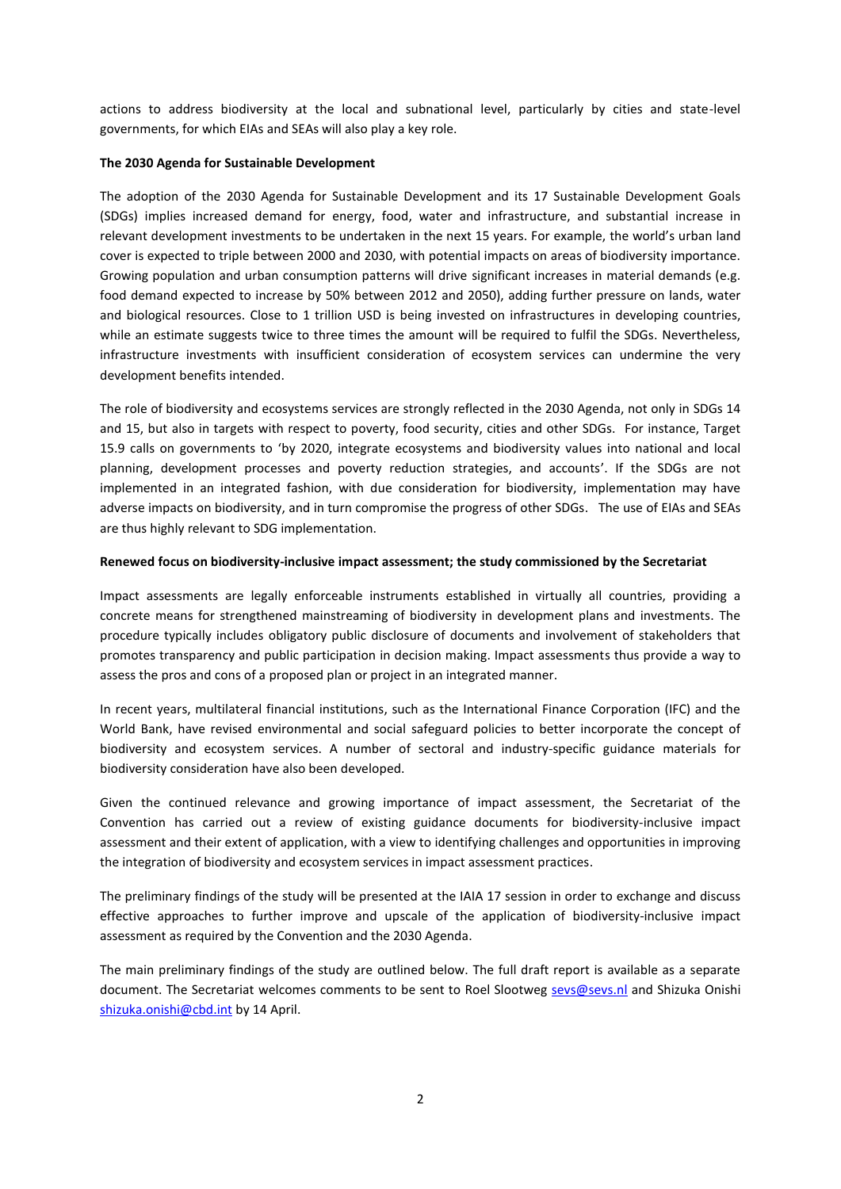actions to address biodiversity at the local and subnational level, particularly by cities and state-level governments, for which EIAs and SEAs will also play a key role.

# **The 2030 Agenda for Sustainable Development**

The adoption of the 2030 Agenda for Sustainable Development and its 17 Sustainable Development Goals (SDGs) implies increased demand for energy, food, water and infrastructure, and substantial increase in relevant development investments to be undertaken in the next 15 years. For example, the world's urban land cover is expected to triple between 2000 and 2030, with potential impacts on areas of biodiversity importance. Growing population and urban consumption patterns will drive significant increases in material demands (e.g. food demand expected to increase by 50% between 2012 and 2050), adding further pressure on lands, water and biological resources. Close to 1 trillion USD is being invested on infrastructures in developing countries, while an estimate suggests twice to three times the amount will be required to fulfil the SDGs. Nevertheless, infrastructure investments with insufficient consideration of ecosystem services can undermine the very development benefits intended.

The role of biodiversity and ecosystems services are strongly reflected in the 2030 Agenda, not only in SDGs 14 and 15, but also in targets with respect to poverty, food security, cities and other SDGs. For instance, Target 15.9 calls on governments to 'by 2020, integrate ecosystems and biodiversity values into national and local planning, development processes and poverty reduction strategies, and accounts'. If the SDGs are not implemented in an integrated fashion, with due consideration for biodiversity, implementation may have adverse impacts on biodiversity, and in turn compromise the progress of other SDGs. The use of EIAs and SEAs are thus highly relevant to SDG implementation.

# **Renewed focus on biodiversity-inclusive impact assessment; the study commissioned by the Secretariat**

Impact assessments are legally enforceable instruments established in virtually all countries, providing a concrete means for strengthened mainstreaming of biodiversity in development plans and investments. The procedure typically includes obligatory public disclosure of documents and involvement of stakeholders that promotes transparency and public participation in decision making. Impact assessments thus provide a way to assess the pros and cons of a proposed plan or project in an integrated manner.

In recent years, multilateral financial institutions, such as the International Finance Corporation (IFC) and the World Bank, have revised environmental and social safeguard policies to better incorporate the concept of biodiversity and ecosystem services. A number of sectoral and industry-specific guidance materials for biodiversity consideration have also been developed.

Given the continued relevance and growing importance of impact assessment, the Secretariat of the Convention has carried out a review of existing guidance documents for biodiversity-inclusive impact assessment and their extent of application, with a view to identifying challenges and opportunities in improving the integration of biodiversity and ecosystem services in impact assessment practices.

The preliminary findings of the study will be presented at the IAIA 17 session in order to exchange and discuss effective approaches to further improve and upscale of the application of biodiversity-inclusive impact assessment as required by the Convention and the 2030 Agenda.

The main preliminary findings of the study are outlined below. The full draft report is available as a separate document. The Secretariat welcomes comments to be sent to Roel Slootweg [sevs@sevs.nl](mailto:sevs@sevs.nl) and Shizuka Onishi [shizuka.onishi@cbd.int](mailto:shizuka.onishi@cbd.int) by 14 April.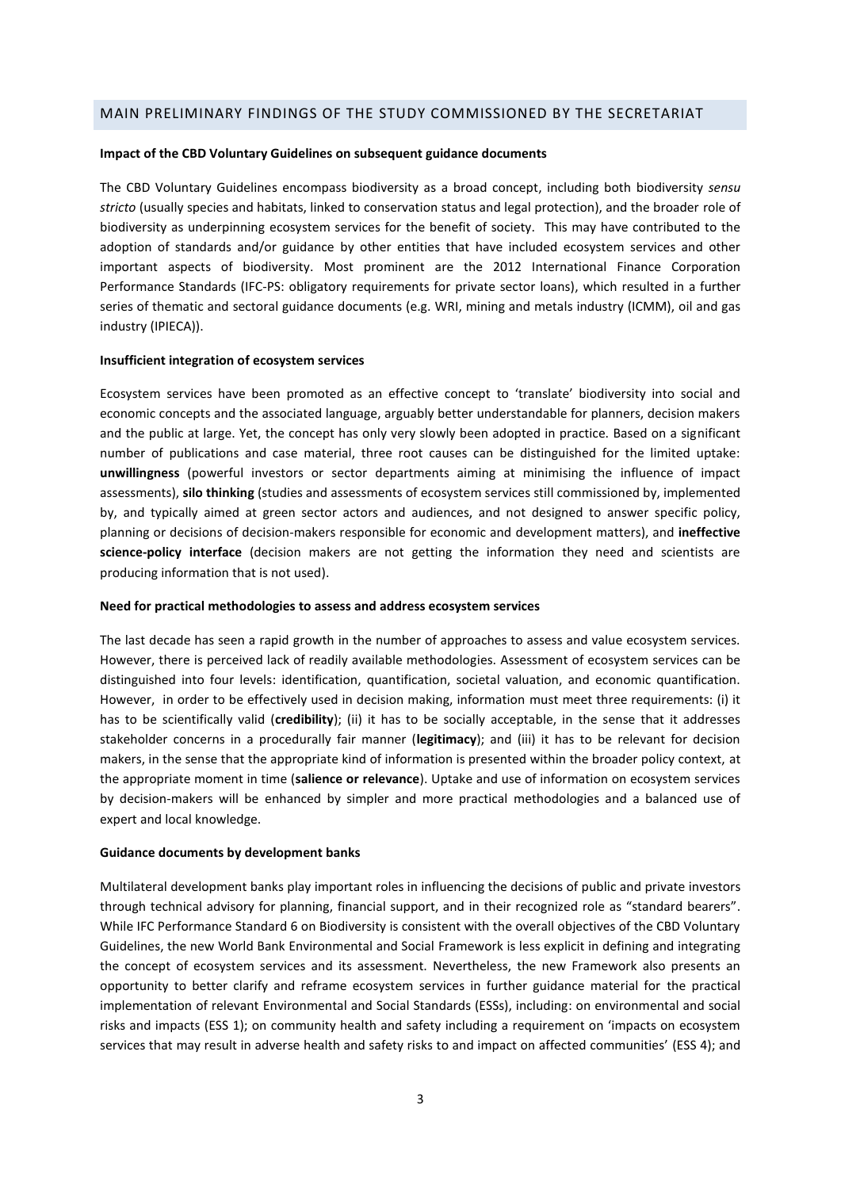# MAIN PRELIMINARY FINDINGS OF THE STUDY COMMISSIONED BY THE SECRETARIAT

#### **Impact of the CBD Voluntary Guidelines on subsequent guidance documents**

The CBD Voluntary Guidelines encompass biodiversity as a broad concept, including both biodiversity *sensu stricto* (usually species and habitats, linked to conservation status and legal protection), and the broader role of biodiversity as underpinning ecosystem services for the benefit of society. This may have contributed to the adoption of standards and/or guidance by other entities that have included ecosystem services and other important aspects of biodiversity. Most prominent are the 2012 International Finance Corporation Performance Standards (IFC-PS: obligatory requirements for private sector loans), which resulted in a further series of thematic and sectoral guidance documents (e.g. WRI, mining and metals industry (ICMM), oil and gas industry (IPIECA)).

#### **Insufficient integration of ecosystem services**

Ecosystem services have been promoted as an effective concept to 'translate' biodiversity into social and economic concepts and the associated language, arguably better understandable for planners, decision makers and the public at large. Yet, the concept has only very slowly been adopted in practice. Based on a significant number of publications and case material, three root causes can be distinguished for the limited uptake: **unwillingness** (powerful investors or sector departments aiming at minimising the influence of impact assessments), **silo thinking** (studies and assessments of ecosystem services still commissioned by, implemented by, and typically aimed at green sector actors and audiences, and not designed to answer specific policy, planning or decisions of decision-makers responsible for economic and development matters), and **ineffective science-policy interface** (decision makers are not getting the information they need and scientists are producing information that is not used).

#### **Need for practical methodologies to assess and address ecosystem services**

The last decade has seen a rapid growth in the number of approaches to assess and value ecosystem services. However, there is perceived lack of readily available methodologies. Assessment of ecosystem services can be distinguished into four levels: identification, quantification, societal valuation, and economic quantification. However, in order to be effectively used in decision making, information must meet three requirements: (i) it has to be scientifically valid (**credibility**); (ii) it has to be socially acceptable, in the sense that it addresses stakeholder concerns in a procedurally fair manner (**legitimacy**); and (iii) it has to be relevant for decision makers, in the sense that the appropriate kind of information is presented within the broader policy context, at the appropriate moment in time (**salience or relevance**). Uptake and use of information on ecosystem services by decision-makers will be enhanced by simpler and more practical methodologies and a balanced use of expert and local knowledge.

#### **Guidance documents by development banks**

Multilateral development banks play important roles in influencing the decisions of public and private investors through technical advisory for planning, financial support, and in their recognized role as "standard bearers". While IFC Performance Standard 6 on Biodiversity is consistent with the overall objectives of the CBD Voluntary Guidelines, the new World Bank Environmental and Social Framework is less explicit in defining and integrating the concept of ecosystem services and its assessment. Nevertheless, the new Framework also presents an opportunity to better clarify and reframe ecosystem services in further guidance material for the practical implementation of relevant Environmental and Social Standards (ESSs), including: on environmental and social risks and impacts (ESS 1); on community health and safety including a requirement on 'impacts on ecosystem services that may result in adverse health and safety risks to and impact on affected communities' (ESS 4); and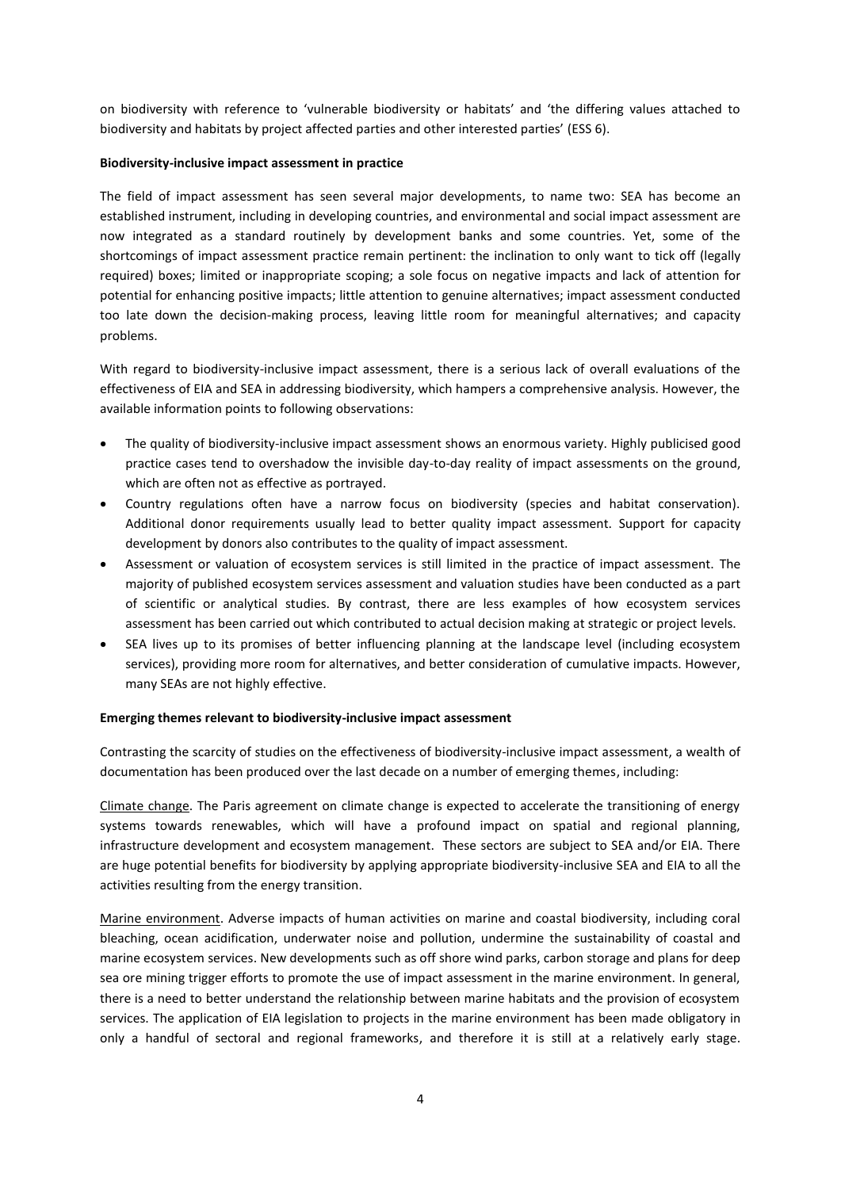on biodiversity with reference to 'vulnerable biodiversity or habitats' and 'the differing values attached to biodiversity and habitats by project affected parties and other interested parties' (ESS 6).

# **Biodiversity-inclusive impact assessment in practice**

The field of impact assessment has seen several major developments, to name two: SEA has become an established instrument, including in developing countries, and environmental and social impact assessment are now integrated as a standard routinely by development banks and some countries. Yet, some of the shortcomings of impact assessment practice remain pertinent: the inclination to only want to tick off (legally required) boxes; limited or inappropriate scoping; a sole focus on negative impacts and lack of attention for potential for enhancing positive impacts; little attention to genuine alternatives; impact assessment conducted too late down the decision-making process, leaving little room for meaningful alternatives; and capacity problems.

With regard to biodiversity-inclusive impact assessment, there is a serious lack of overall evaluations of the effectiveness of EIA and SEA in addressing biodiversity, which hampers a comprehensive analysis. However, the available information points to following observations:

- The quality of biodiversity-inclusive impact assessment shows an enormous variety. Highly publicised good practice cases tend to overshadow the invisible day-to-day reality of impact assessments on the ground, which are often not as effective as portrayed.
- Country regulations often have a narrow focus on biodiversity (species and habitat conservation). Additional donor requirements usually lead to better quality impact assessment. Support for capacity development by donors also contributes to the quality of impact assessment.
- Assessment or valuation of ecosystem services is still limited in the practice of impact assessment. The majority of published ecosystem services assessment and valuation studies have been conducted as a part of scientific or analytical studies. By contrast, there are less examples of how ecosystem services assessment has been carried out which contributed to actual decision making at strategic or project levels.
- SEA lives up to its promises of better influencing planning at the landscape level (including ecosystem services), providing more room for alternatives, and better consideration of cumulative impacts. However, many SEAs are not highly effective.

## **Emerging themes relevant to biodiversity-inclusive impact assessment**

Contrasting the scarcity of studies on the effectiveness of biodiversity-inclusive impact assessment, a wealth of documentation has been produced over the last decade on a number of emerging themes, including:

Climate change. The Paris agreement on climate change is expected to accelerate the transitioning of energy systems towards renewables, which will have a profound impact on spatial and regional planning, infrastructure development and ecosystem management. These sectors are subject to SEA and/or EIA. There are huge potential benefits for biodiversity by applying appropriate biodiversity-inclusive SEA and EIA to all the activities resulting from the energy transition.

Marine environment. Adverse impacts of human activities on marine and coastal biodiversity, including coral bleaching, ocean acidification, underwater noise and pollution, undermine the sustainability of coastal and marine ecosystem services. New developments such as off shore wind parks, carbon storage and plans for deep sea ore mining trigger efforts to promote the use of impact assessment in the marine environment. In general, there is a need to better understand the relationship between marine habitats and the provision of ecosystem services. The application of EIA legislation to projects in the marine environment has been made obligatory in only a handful of sectoral and regional frameworks, and therefore it is still at a relatively early stage.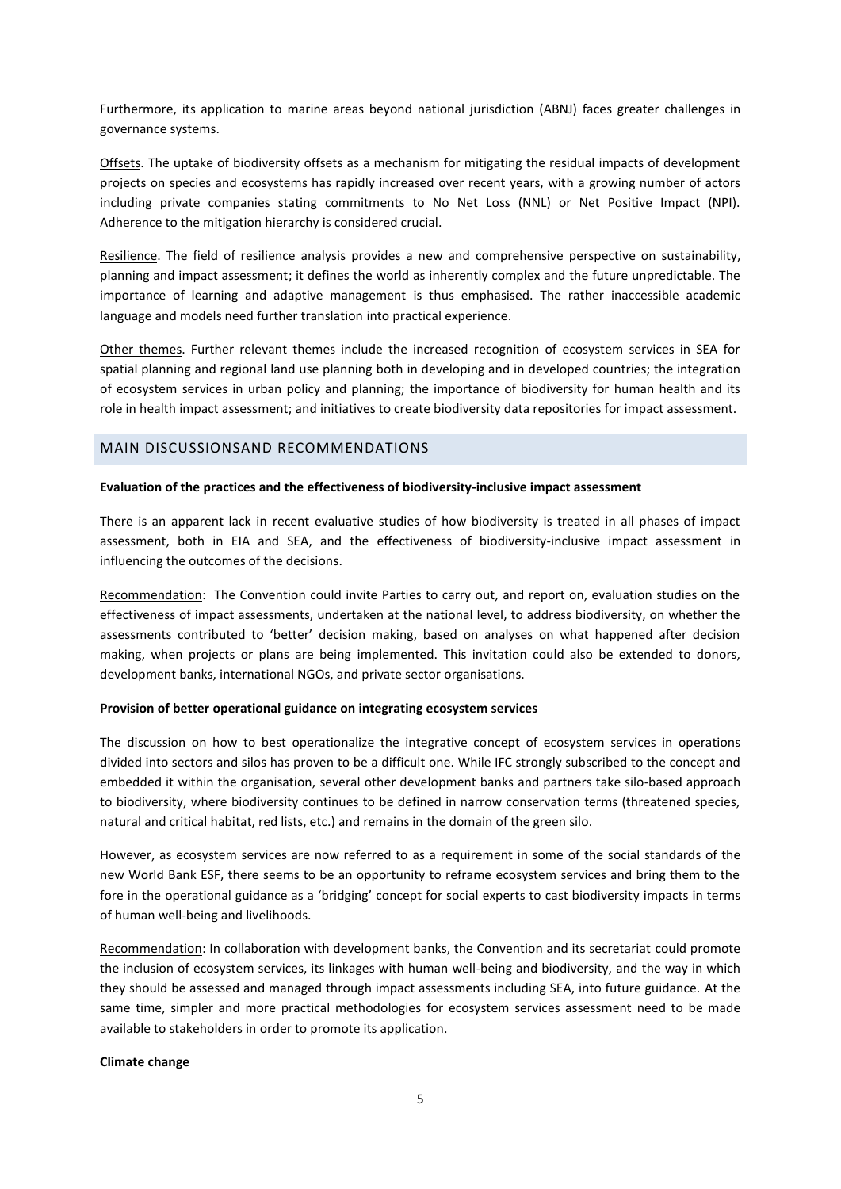Furthermore, its application to marine areas beyond national jurisdiction (ABNJ) faces greater challenges in governance systems.

Offsets. The uptake of biodiversity offsets as a mechanism for mitigating the residual impacts of development projects on species and ecosystems has rapidly increased over recent years, with a growing number of actors including private companies stating commitments to No Net Loss (NNL) or Net Positive Impact (NPI). Adherence to the mitigation hierarchy is considered crucial.

Resilience. The field of resilience analysis provides a new and comprehensive perspective on sustainability, planning and impact assessment; it defines the world as inherently complex and the future unpredictable. The importance of learning and adaptive management is thus emphasised. The rather inaccessible academic language and models need further translation into practical experience.

Other themes. Further relevant themes include the increased recognition of ecosystem services in SEA for spatial planning and regional land use planning both in developing and in developed countries; the integration of ecosystem services in urban policy and planning; the importance of biodiversity for human health and its role in health impact assessment; and initiatives to create biodiversity data repositories for impact assessment.

# MAIN DISCUSSIONSAND RECOMMENDATIONS

## **Evaluation of the practices and the effectiveness of biodiversity-inclusive impact assessment**

There is an apparent lack in recent evaluative studies of how biodiversity is treated in all phases of impact assessment, both in EIA and SEA, and the effectiveness of biodiversity-inclusive impact assessment in influencing the outcomes of the decisions.

Recommendation: The Convention could invite Parties to carry out, and report on, evaluation studies on the effectiveness of impact assessments, undertaken at the national level, to address biodiversity, on whether the assessments contributed to 'better' decision making, based on analyses on what happened after decision making, when projects or plans are being implemented. This invitation could also be extended to donors, development banks, international NGOs, and private sector organisations.

## **Provision of better operational guidance on integrating ecosystem services**

The discussion on how to best operationalize the integrative concept of ecosystem services in operations divided into sectors and silos has proven to be a difficult one. While IFC strongly subscribed to the concept and embedded it within the organisation, several other development banks and partners take silo-based approach to biodiversity, where biodiversity continues to be defined in narrow conservation terms (threatened species, natural and critical habitat, red lists, etc.) and remains in the domain of the green silo.

However, as ecosystem services are now referred to as a requirement in some of the social standards of the new World Bank ESF, there seems to be an opportunity to reframe ecosystem services and bring them to the fore in the operational guidance as a 'bridging' concept for social experts to cast biodiversity impacts in terms of human well-being and livelihoods.

Recommendation: In collaboration with development banks, the Convention and its secretariat could promote the inclusion of ecosystem services, its linkages with human well-being and biodiversity, and the way in which they should be assessed and managed through impact assessments including SEA, into future guidance. At the same time, simpler and more practical methodologies for ecosystem services assessment need to be made available to stakeholders in order to promote its application.

## **Climate change**